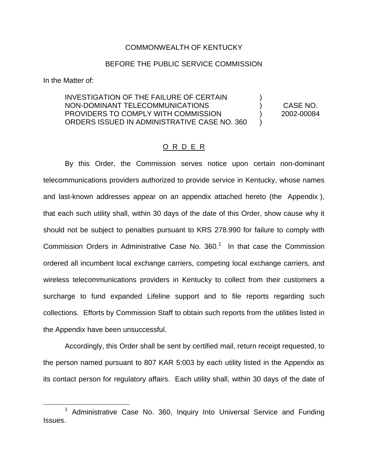# COMMONWEALTH OF KENTUCKY

### BEFORE THE PUBLIC SERVICE COMMISSION

In the Matter of:

INVESTIGATION OF THE FAILURE OF CERTAIN NON-DOMINANT TELECOMMUNICATIONS ) CASE NO. PROVIDERS TO COMPLY WITH COMMISSION  $\qquad \qquad$  2002-00084 ORDERS ISSUED IN ADMINISTRATIVE CASE NO. 360 )

#### O R D E R

By this Order, the Commission serves notice upon certain non-dominant telecommunications providers authorized to provide service in Kentucky, whose names and last-known addresses appear on an appendix attached hereto (the Appendix ), that each such utility shall, within 30 days of the date of this Order, show cause why it should not be subject to penalties pursuant to KRS 278.990 for failure to comply with Commission Orders in Administrative Case No.  $360<sup>1</sup>$  In that case the Commission ordered all incumbent local exchange carriers, competing local exchange carriers, and wireless telecommunications providers in Kentucky to collect from their customers a surcharge to fund expanded Lifeline support and to file reports regarding such collections. Efforts by Commission Staff to obtain such reports from the utilities listed in the Appendix have been unsuccessful.

Accordingly, this Order shall be sent by certified mail, return receipt requested, to the person named pursuant to 807 KAR 5:003 by each utility listed in the Appendix as its contact person for regulatory affairs. Each utility shall, within 30 days of the date of

<sup>1</sup> Administrative Case No. 360, Inquiry Into Universal Service and Funding Issues.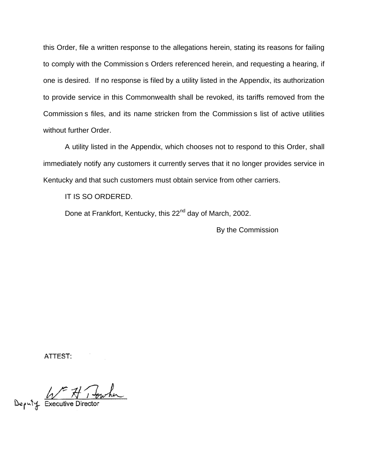this Order, file a written response to the allegations herein, stating its reasons for failing to comply with the Commission s Orders referenced herein, and requesting a hearing, if one is desired. If no response is filed by a utility listed in the Appendix, its authorization to provide service in this Commonwealth shall be revoked, its tariffs removed from the Commission s files, and its name stricken from the Commission s list of active utilities without further Order.

A utility listed in the Appendix, which chooses not to respond to this Order, shall immediately notify any customers it currently serves that it no longer provides service in Kentucky and that such customers must obtain service from other carriers.

IT IS SO ORDERED.

Done at Frankfort, Kentucky, this 22<sup>nd</sup> day of March, 2002.

By the Commission

ATTEST:

Deputy Executive Director